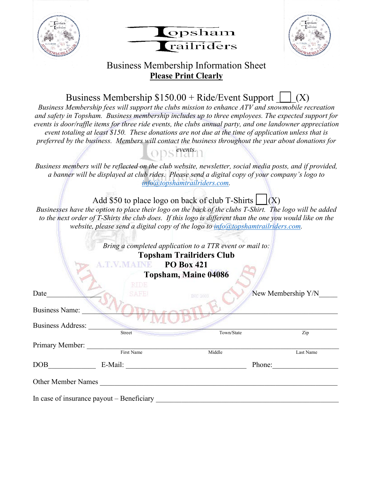





## Business Membership Information Sheet **Please Print Clearly**

Business Membership  $$150.00 +$  Ride/Event Support  $\vert$   $\vert$  (X)

*Business Membership fees will support the clubs mission to enhance ATV and snowmobile recreation and safety in Topsham. Business membership includes up to three employees. The expected support for events is door/raffle items for three ride events, the clubs annual party, and one landowner appreciation event totaling at least \$150. These donations are not due at the time of application unless that is preferred by the business. Members will contact the business throughout the year about donations for* 

*events.* 

*Business members will be reflected on the club website, newsletter, social media posts, and if provided, a banner will be displayed at club rides. Please send a digital copy of your company's logo to [info@topshamtrailriders.com.](about:blank)* 

Add \$50 to place logo on back of club T-Shirts  $\vert$   $\vert$  (X)

*Businesses have the option to place their logo on the back of the clubs T-Shirt. The logo will be added to the next order of T-Shirts the club does. If this logo is different than the one you would like on the website, please send a digital copy of the logo to info@topshamtrailriders.com.* 

|                          |                   | Bring a completed application to a TTR event or mail to:<br><b>Topsham Trailriders Club</b><br><b>PO Box 421</b><br>Topsham, Maine 04086 |                    |
|--------------------------|-------------------|------------------------------------------------------------------------------------------------------------------------------------------|--------------------|
| Date                     | RTDE.<br>SAFEI    | INC 2003                                                                                                                                 | New Membership Y/N |
| <b>Business Name:</b>    |                   |                                                                                                                                          |                    |
| <b>Business Address:</b> | <b>Street</b>     | Town/State                                                                                                                               | Zip                |
| Primary Member:          |                   |                                                                                                                                          |                    |
|                          | First Name        | Middle                                                                                                                                   | Last Name          |
| DOB                      | E-Mail:<br>Phone: |                                                                                                                                          |                    |
| Other Member Names       |                   |                                                                                                                                          |                    |